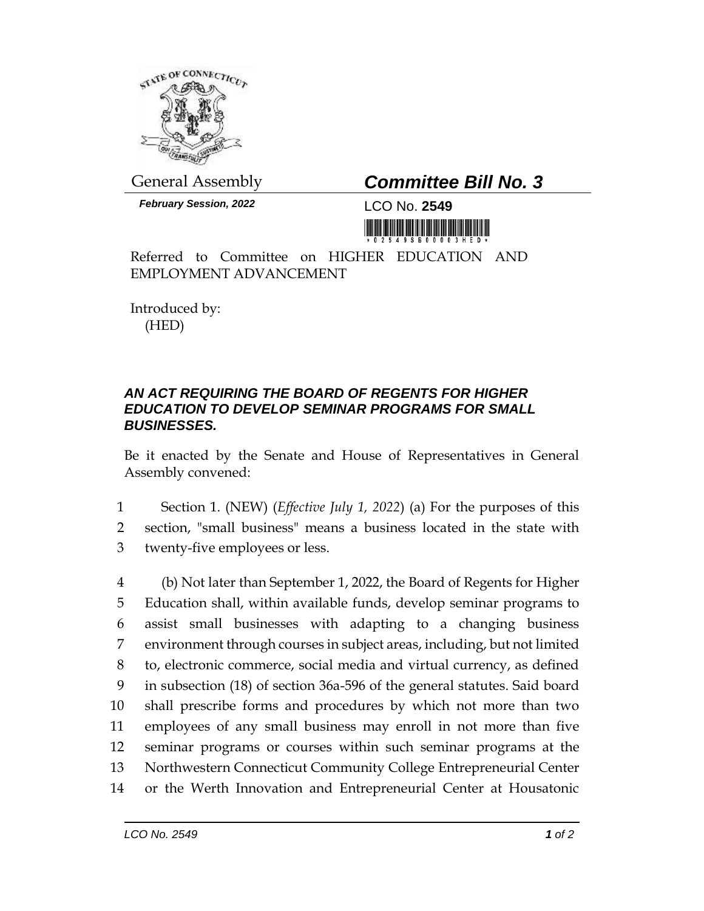

General Assembly *Committee Bill No. 3*

*February Session, 2022* LCO No. **2549**

Referred to Committee on HIGHER EDUCATION AND EMPLOYMENT ADVANCEMENT

Introduced by: (HED)

## *AN ACT REQUIRING THE BOARD OF REGENTS FOR HIGHER EDUCATION TO DEVELOP SEMINAR PROGRAMS FOR SMALL BUSINESSES.*

Be it enacted by the Senate and House of Representatives in General Assembly convened:

1 Section 1. (NEW) (*Effective July 1, 2022*) (a) For the purposes of this 2 section, "small business" means a business located in the state with 3 twenty-five employees or less.

 (b) Not later than September 1, 2022, the Board of Regents for Higher Education shall, within available funds, develop seminar programs to assist small businesses with adapting to a changing business environment through courses in subject areas, including, but not limited to, electronic commerce, social media and virtual currency, as defined in subsection (18) of section 36a-596 of the general statutes. Said board shall prescribe forms and procedures by which not more than two employees of any small business may enroll in not more than five seminar programs or courses within such seminar programs at the Northwestern Connecticut Community College Entrepreneurial Center or the Werth Innovation and Entrepreneurial Center at Housatonic